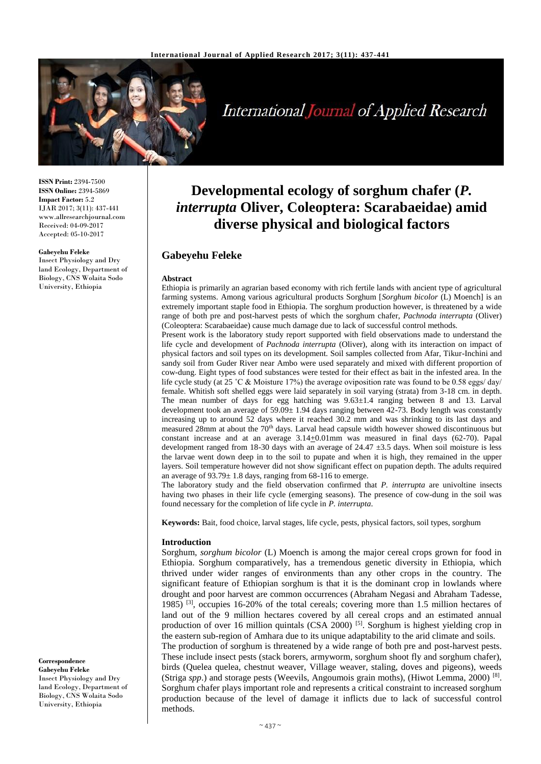

# **International Journal of Applied Research**

**ISSN Print:** 2394-7500 **ISSN Online:** 2394-5869 **Impact Factor:** 5.2 IJAR 2017; 3(11): 437-441 www.allresearchjournal.com Received: 04-09-2017 Accepted: 05-10-2017

#### **Gabeyehu Feleke**

Insect Physiology and Dry land Ecology, Department of Biology, CNS Wolaita Sodo University, Ethiopia

**Developmental ecology of sorghum chafer (***P. interrupta* **Oliver, Coleoptera: Scarabaeidae) amid diverse physical and biological factors**

## **Gabeyehu Feleke**

#### **Abstract**

Ethiopia is primarily an agrarian based economy with rich fertile lands with ancient type of agricultural farming systems. Among various agricultural products Sorghum [*Sorghum bicolor* (L) Moench] is an extremely important staple food in Ethiopia. The sorghum production however, is threatened by a wide range of both pre and post-harvest pests of which the sorghum chafer, *Pachnoda interrupta* (Oliver) (Coleoptera: Scarabaeidae) cause much damage due to lack of successful control methods.

Present work is the laboratory study report supported with field observations made to understand the life cycle and development of *Pachnoda interrupta* (Oliver), along with its interaction on impact of physical factors and soil types on its development. Soil samples collected from Afar, Tikur-Inchini and sandy soil from Guder River near Ambo were used separately and mixed with different proportion of cow-dung. Eight types of food substances were tested for their effect as bait in the infested area. In the life cycle study (at 25 ˚C & Moisture 17%) the average oviposition rate was found to be 0.58 eggs/ day/ female. Whitish soft shelled eggs were laid separately in soil varying (strata) from 3-18 cm. in depth. The mean number of days for egg hatching was 9.63±1.4 ranging between 8 and 13. Larval development took an average of 59.09± 1.94 days ranging between 42-73. Body length was constantly increasing up to around 52 days where it reached 30.2 mm and was shrinking to its last days and measured 28mm at about the 70<sup>th</sup> days. Larval head capsule width however showed discontinuous but constant increase and at an average  $3.14 \pm 0.01$  mm was measured in final days (62-70). Papal development ranged from 18-30 days with an average of  $24.47 \pm 3.5$  days. When soil moisture is less the larvae went down deep in to the soil to pupate and when it is high, they remained in the upper layers. Soil temperature however did not show significant effect on pupation depth. The adults required an average of 93.79± 1.8 days, ranging from 68-116 to emerge.

The laboratory study and the field observation confirmed that *P. interrupta* are univoltine insects having two phases in their life cycle (emerging seasons). The presence of cow-dung in the soil was found necessary for the completion of life cycle in *P. interrupta*.

**Keywords:** Bait, food choice, larval stages, life cycle, pests, physical factors, soil types, sorghum

#### **Introduction**

Sorghum, *sorghum bicolor* (L) Moench is among the major cereal crops grown for food in Ethiopia. Sorghum comparatively, has a tremendous genetic diversity in Ethiopia, which thrived under wider ranges of environments than any other crops in the country. The significant feature of Ethiopian sorghum is that it is the dominant crop in lowlands where drought and poor harvest are common occurrences (Abraham Negasi and Abraham Tadesse, 1985) <sup>[3]</sup>, occupies 16-20% of the total cereals; covering more than 1.5 million hectares of land out of the 9 million hectares covered by all cereal crops and an estimated annual production of over 16 million quintals (CSA 2000) <sup>[5]</sup>. Sorghum is highest yielding crop in the eastern sub-region of Amhara due to its unique adaptability to the arid climate and soils. The production of sorghum is threatened by a wide range of both pre and post-harvest pests.

These include insect pests (stack borers, armyworm, sorghum shoot fly and sorghum chafer), birds (Quelea quelea, chestnut weaver, Village weaver, staling, doves and pigeons), weeds (Striga *spp*.) and storage pests (Weevils, Angoumois grain moths), (Hiwot Lemma, 2000)<sup>[8]</sup>. Sorghum chafer plays important role and represents a critical constraint to increased sorghum production because of the level of damage it inflicts due to lack of successful control methods.

**Correspondence Gabeyehu Feleke** Insect Physiology and Dry land Ecology, Department of Biology, CNS Wolaita Sodo University, Ethiopia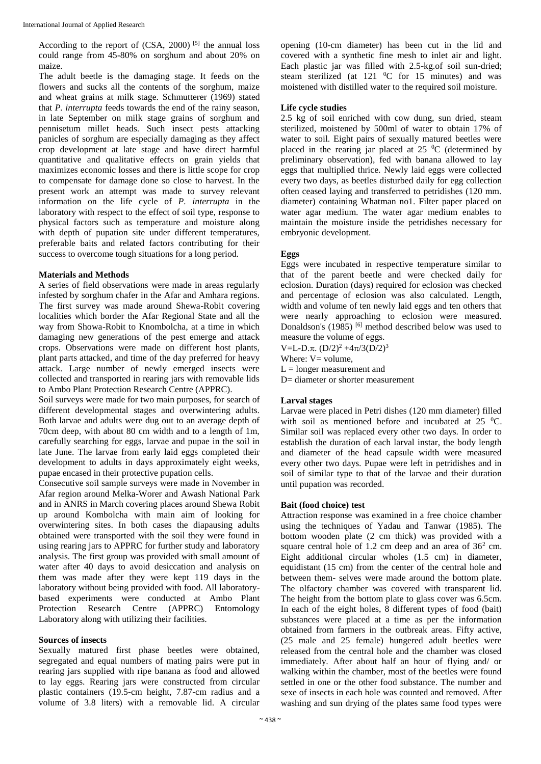According to the report of  $(CSA, 2000)$  [5] the annual loss could range from 45-80% on sorghum and about 20% on maize.

The adult beetle is the damaging stage. It feeds on the flowers and sucks all the contents of the sorghum, maize and wheat grains at milk stage. Schmutterer (1969) stated that *P. interrupta* feeds towards the end of the rainy season, in late September on milk stage grains of sorghum and pennisetum millet heads. Such insect pests attacking panicles of sorghum are especially damaging as they affect crop development at late stage and have direct harmful quantitative and qualitative effects on grain yields that maximizes economic losses and there is little scope for crop to compensate for damage done so close to harvest. In the present work an attempt was made to survey relevant information on the life cycle of *P. interrupta* in the laboratory with respect to the effect of soil type, response to physical factors such as temperature and moisture along with depth of pupation site under different temperatures, preferable baits and related factors contributing for their success to overcome tough situations for a long period.

## **Materials and Methods**

A series of field observations were made in areas regularly infested by sorghum chafer in the Afar and Amhara regions. The first survey was made around Shewa-Robit covering localities which border the Afar Regional State and all the way from Showa-Robit to Knombolcha, at a time in which damaging new generations of the pest emerge and attack crops. Observations were made on different host plants, plant parts attacked, and time of the day preferred for heavy attack. Large number of newly emerged insects were collected and transported in rearing jars with removable lids to Ambo Plant Protection Research Centre (APPRC).

Soil surveys were made for two main purposes, for search of different developmental stages and overwintering adults. Both larvae and adults were dug out to an average depth of 70cm deep, with about 80 cm width and to a length of 1m, carefully searching for eggs, larvae and pupae in the soil in late June. The larvae from early laid eggs completed their development to adults in days approximately eight weeks, pupae encased in their protective pupation cells.

Consecutive soil sample surveys were made in November in Afar region around Melka-Worer and Awash National Park and in ANRS in March covering places around Shewa Robit up around Kombolcha with main aim of looking for overwintering sites. In both cases the diapausing adults obtained were transported with the soil they were found in using rearing jars to APPRC for further study and laboratory analysis. The first group was provided with small amount of water after 40 days to avoid desiccation and analysis on them was made after they were kept 119 days in the laboratory without being provided with food. All laboratorybased experiments were conducted at Ambo Plant Protection Research Centre (APPRC) Entomology Laboratory along with utilizing their facilities.

#### **Sources of insects**

Sexually matured first phase beetles were obtained, segregated and equal numbers of mating pairs were put in rearing jars supplied with ripe banana as food and allowed to lay eggs. Rearing jars were constructed from circular plastic containers (19.5-cm height, 7.87-cm radius and a volume of 3.8 liters) with a removable lid. A circular

opening (10-cm diameter) has been cut in the lid and covered with a synthetic fine mesh to inlet air and light. Each plastic jar was filled with 2.5-kg.of soil sun-dried; steam sterilized (at  $121 \text{ °C}$  for  $15 \text{ minutes}$ ) and was moistened with distilled water to the required soil moisture.

## **Life cycle studies**

2.5 kg of soil enriched with cow dung, sun dried, steam sterilized, moistened by 500ml of water to obtain 17% of water to soil. Eight pairs of sexually matured beetles were placed in the rearing jar placed at  $25\ ^{0}C$  (determined by preliminary observation), fed with banana allowed to lay eggs that multiplied thrice. Newly laid eggs were collected every two days, as beetles disturbed daily for egg collection often ceased laying and transferred to petridishes (120 mm. diameter) containing Whatman no1. Filter paper placed on water agar medium. The water agar medium enables to maintain the moisture inside the petridishes necessary for embryonic development.

## **Eggs**

Eggs were incubated in respective temperature similar to that of the parent beetle and were checked daily for eclosion. Duration (days) required for eclosion was checked and percentage of eclosion was also calculated. Length, width and volume of ten newly laid eggs and ten others that were nearly approaching to eclosion were measured. Donaldson's (1985)<sup>[6]</sup> method described below was used to measure the volume of eggs.

V=L-D. $\pi$ . (D/2)<sup>2</sup> +4 $\pi$ /3(D/2)<sup>3</sup>

Where:  $V =$  volume,

 $L =$ longer measurement and

D= diameter or shorter measurement

## **Larval stages**

Larvae were placed in Petri dishes (120 mm diameter) filled with soil as mentioned before and incubated at  $25\text{ °C}$ . Similar soil was replaced every other two days. In order to establish the duration of each larval instar, the body length and diameter of the head capsule width were measured every other two days. Pupae were left in petridishes and in soil of similar type to that of the larvae and their duration until pupation was recorded.

#### **Bait (food choice) test**

Attraction response was examined in a free choice chamber using the techniques of Yadau and Tanwar (1985). The bottom wooden plate (2 cm thick) was provided with a square central hole of 1.2 cm deep and an area of  $36<sup>2</sup>$  cm. Eight additional circular wholes (1.5 cm) in diameter, equidistant (15 cm) from the center of the central hole and between them- selves were made around the bottom plate. The olfactory chamber was covered with transparent lid. The height from the bottom plate to glass cover was 6.5cm. In each of the eight holes, 8 different types of food (bait) substances were placed at a time as per the information obtained from farmers in the outbreak areas. Fifty active, (25 male and 25 female) hungered adult beetles were released from the central hole and the chamber was closed immediately. After about half an hour of flying and/ or walking within the chamber, most of the beetles were found settled in one or the other food substance. The number and sexe of insects in each hole was counted and removed. After washing and sun drying of the plates same food types were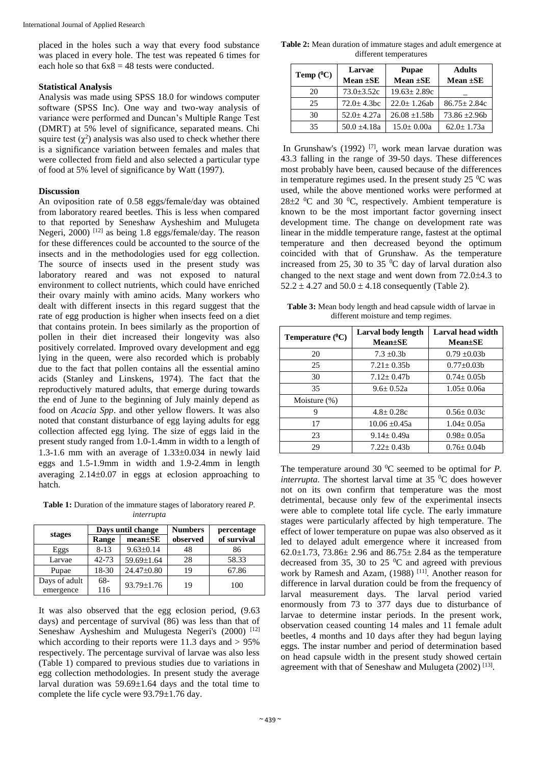placed in the holes such a way that every food substance was placed in every hole. The test was repeated 6 times for each hole so that  $6x8 = 48$  tests were conducted.

#### **Statistical Analysis**

Analysis was made using SPSS 18.0 for windows computer software (SPSS Inc). One way and two-way analysis of variance were performed and Duncan's Multiple Range Test (DMRT) at 5% level of significance, separated means. Chi squire test  $(\chi^2)$  analysis was also used to check whether there is a significance variation between females and males that were collected from field and also selected a particular type of food at 5% level of significance by Watt (1997).

#### **Discussion**

An oviposition rate of 0.58 eggs/female/day was obtained from laboratory reared beetles. This is less when compared to that reported by Seneshaw Aysheshim and Mulugeta Negeri, 2000) [12] as being 1.8 eggs/female/day. The reason for these differences could be accounted to the source of the insects and in the methodologies used for egg collection. The source of insects used in the present study was laboratory reared and was not exposed to natural environment to collect nutrients, which could have enriched their ovary mainly with amino acids. Many workers who dealt with different insects in this regard suggest that the rate of egg production is higher when insects feed on a diet that contains protein. In bees similarly as the proportion of pollen in their diet increased their longevity was also positively correlated. Improved ovary development and egg lying in the queen, were also recorded which is probably due to the fact that pollen contains all the essential amino acids (Stanley and Linskens, 1974). The fact that the reproductively matured adults, that emerge during towards the end of June to the beginning of July mainly depend as food on *Acacia Spp*. and other yellow flowers. It was also noted that constant disturbance of egg laying adults for egg collection affected egg lying. The size of eggs laid in the present study ranged from 1.0-1.4mm in width to a length of 1.3-1.6 mm with an average of  $1.33\pm0.034$  in newly laid eggs and 1.5-1.9mm in width and 1.9-2.4mm in length averaging  $2.14\pm0.07$  in eggs at eclosion approaching to hatch.

**Table 1:** Duration of the immature stages of laboratory reared *P. interrupta*

|               | Days until change |                 | <b>Numbers</b> | percentage  |  |
|---------------|-------------------|-----------------|----------------|-------------|--|
| stages        | Range             | $mean \pm SE$   | observed       | of survival |  |
| Eggs          | $8 - 13$          | $9.63 \pm 0.14$ | 48             | 86          |  |
| Larvae        | $42 - 73$         | 59.69±1.64      | 28             | 58.33       |  |
| Pupae         | 18-30             | 24.47±0.80      | 19             | 67.86       |  |
| Days of adult | $68-$             | 93.79±1.76      | 19             | 100         |  |
| emergence     | 116               |                 |                |             |  |

It was also observed that the egg eclosion period, (9.63 days) and percentage of survival (86) was less than that of Seneshaw Aysheshim and Mulugesta Negeri's (2000)<sup>[12]</sup> which according to their reports were 11.3 days and > 95% respectively. The percentage survival of larvae was also less (Table 1) compared to previous studies due to variations in egg collection methodologies. In present study the average larval duration was 59.69±1.64 days and the total time to complete the life cycle were 93.79±1.76 day.

**Table 2:** Mean duration of immature stages and adult emergence at different temperatures

| Temp $(^0C)$ | Larvae           | <b>Pupae</b>       | <b>Adults</b>     |  |
|--------------|------------------|--------------------|-------------------|--|
|              | Mean $\pm$ SE    | Mean $\pm$ SE      | Mean $\pm$ SE     |  |
| 20           | $73.0 \pm 3.52c$ | $19.63 \pm 2.89c$  |                   |  |
| 25           | $72.0 + 4.3$ bc  | $22.0 \pm 1.26$ ab | $86.75 \pm 2.84c$ |  |
| 30           | $52.0 + 4.27a$   | $26.08 \pm 1.58$   | $73.86 + 2.96h$   |  |
| 35           | $50.0 + 4.18a$   | $15.0 \pm 0.00a$   | $62.0 + 1.73a$    |  |

In Grunshaw's (1992) [7], work mean larvae duration was 43.3 falling in the range of 39-50 days. These differences most probably have been, caused because of the differences in temperature regimes used. In the present study  $25\degree C$  was used, while the above mentioned works were performed at  $28\pm2~^0C$  and 30  $^0C$ , respectively. Ambient temperature is known to be the most important factor governing insect development time. The change on development rate was linear in the middle temperature range, fastest at the optimal temperature and then decreased beyond the optimum coincided with that of Grunshaw. As the temperature increased from 25, 30 to 35 $\degree$ C day of larval duration also changed to the next stage and went down from  $72.0\pm4.3$  to  $52.2 \pm 4.27$  and  $50.0 \pm 4.18$  consequently (Table 2).

**Table 3:** Mean body length and head capsule width of larvae in different moisture and temp regimes.

| Temperature $(^0C)$ | Larval body length<br>$Mean \pm SE$ | Larval head width<br>$Mean \pm SE$ |  |  |
|---------------------|-------------------------------------|------------------------------------|--|--|
| 20                  | $7.3 \pm 0.3h$                      | $0.79 + 0.03h$                     |  |  |
| 25                  | $7.21 + 0.35h$                      | $0.77+0.03b$                       |  |  |
| 30                  | $7.12 + 0.47$                       | $0.74 + 0.05h$                     |  |  |
| 35                  | $9.6 + 0.52a$                       | $1.05 \pm 0.06a$                   |  |  |
| Moisture $(\%)$     |                                     |                                    |  |  |
| 9                   | $4.8 + 0.28c$                       | $0.56 + 0.03c$                     |  |  |
| 17                  | $10.06 + 0.45a$                     | $1.04 + 0.05a$                     |  |  |
| 23                  | $9.14 + 0.49a$                      | $0.98 \pm 0.05a$                   |  |  |
| 29                  | $7.22 + 0.43h$                      | $0.76 + 0.04$                      |  |  |

The temperature around 30  $^0C$  seemed to be optimal for *P*. *interrupta*. The shortest larval time at 35  $^{\circ}$ C does however not on its own confirm that temperature was the most detrimental, because only few of the experimental insects were able to complete total life cycle. The early immature stages were particularly affected by high temperature. The effect of lower temperature on pupae was also observed as it led to delayed adult emergence where it increased from 62.0 $\pm$ 1.73, 73.86 $\pm$  2.96 and 86.75 $\pm$  2.84 as the temperature decreased from 35, 30 to 25 $\degree$ C and agreed with previous work by Ramesh and Azam, (1988)<sup>[11]</sup>. Another reason for difference in larval duration could be from the frequency of larval measurement days. The larval period varied enormously from 73 to 377 days due to disturbance of larvae to determine instar periods. In the present work, observation ceased counting 14 males and 11 female adult beetles, 4 months and 10 days after they had begun laying eggs. The instar number and period of determination based on head capsule width in the present study showed certain agreement with that of Seneshaw and Mulugeta (2002)<sup>[13]</sup>.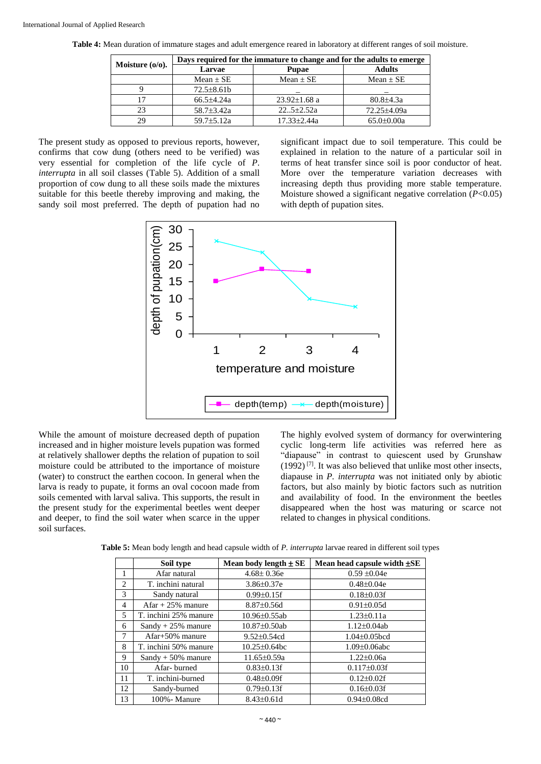| Moisture $(o/o)$ .     | Days required for the immature to change and for the adults to emerge |                    |                  |  |  |  |
|------------------------|-----------------------------------------------------------------------|--------------------|------------------|--|--|--|
|                        | Larvae                                                                | <b>Pupae</b>       | <b>Adults</b>    |  |  |  |
|                        | Mean $\pm$ SE                                                         | $Mean + SE$        | $Mean + SE$      |  |  |  |
|                        | $72.5 \pm 8.61 b$                                                     |                    |                  |  |  |  |
| 17                     | $66.5 + 4.24a$                                                        | $23.92 \pm 1.68$ a | $80.8{\pm}4.3a$  |  |  |  |
| 23                     | $58.7 + 3.42a$                                                        | $22.5 + 2.52a$     | 72.25±4.09a      |  |  |  |
| 29<br>$59.7 \pm 5.12a$ |                                                                       | $17.33 + 2.44a$    | $65.0 \pm 0.00a$ |  |  |  |

**Table 4:** Mean duration of immature stages and adult emergence reared in laboratory at different ranges of soil moisture.

The present study as opposed to previous reports, however, confirms that cow dung (others need to be verified) was very essential for completion of the life cycle of *P. interrupta* in all soil classes (Table 5). Addition of a small proportion of cow dung to all these soils made the mixtures suitable for this beetle thereby improving and making, the sandy soil most preferred. The depth of pupation had no

significant impact due to soil temperature. This could be explained in relation to the nature of a particular soil in terms of heat transfer since soil is poor conductor of heat. More over the temperature variation decreases with increasing depth thus providing more stable temperature. Moisture showed a significant negative correlation (*P*<0.05) with depth of pupation sites.



While the amount of moisture decreased depth of pupation increased and in higher moisture levels pupation was formed at relatively shallower depths the relation of pupation to soil moisture could be attributed to the importance of moisture (water) to construct the earthen cocoon. In general when the larva is ready to pupate, it forms an oval cocoon made from soils cemented with larval saliva. This supports, the result in the present study for the experimental beetles went deeper and deeper, to find the soil water when scarce in the upper soil surfaces.

The highly evolved system of dormancy for overwintering cyclic long-term life activities was referred here as "diapause" in contrast to quiescent used by Grunshaw  $(1992)^{7}$ . It was also believed that unlike most other insects, diapause in *P. interrupta* was not initiated only by abiotic factors, but also mainly by biotic factors such as nutrition and availability of food. In the environment the beetles disappeared when the host was maturing or scarce not related to changes in physical conditions.

| Table 5: Mean body length and head capsule width of P. interrupta larvae reared in different soil types |  |
|---------------------------------------------------------------------------------------------------------|--|
|---------------------------------------------------------------------------------------------------------|--|

|    | Soil type             | Mean body length $\pm$ SE | Mean head capsule width $\pm$ SE |  |  |
|----|-----------------------|---------------------------|----------------------------------|--|--|
|    | Afar natural          | $4.68 \pm 0.36e$          | $0.59 \pm 0.04e$                 |  |  |
| 2  | T. inchini natural    | $3.86 \pm 0.37$ e         | $0.48 \pm 0.04e$                 |  |  |
| 3  | Sandy natural         | $0.99 \pm 0.15$ f         | $0.18 \pm 0.03$ f                |  |  |
| 4  | Afar + $25\%$ manure  | $8.87 \pm 0.56d$          | $0.91 \pm 0.05d$                 |  |  |
| 5  | T. inchini 25% manure | $10.96 \pm 0.55$ ab       | $1.23 \pm 0.11a$                 |  |  |
| 6  | $Sandy + 25\%$ manure | $10.87 \pm 0.50$ ab       | $1.12 \pm 0.04$ ab               |  |  |
| 7  | Afar+50% manure       | $9.52 \pm 0.54$ cd        | $1.04 \pm 0.05$ bcd              |  |  |
| 8  | T. inchini 50% manure | $10.25 \pm 0.64$ bc       | $1.09 \pm 0.06$ abc              |  |  |
| 9  | $Sandy + 50\%$ manure | 11.65±0.59a               | $1.22 \pm 0.06a$                 |  |  |
| 10 | Afar-burned           | $0.83 \pm 0.13$ f         | $0.117 \pm 0.03$ f               |  |  |
| 11 | T. inchini-burned     | $0.48 \pm 0.09$ f         | $0.12 \pm 0.02$ f                |  |  |
| 12 | Sandy-burned          | $0.79 \pm 0.13$ f         | $0.16 \pm 0.03$ f                |  |  |
| 13 | 100% - Manure         | $8.43 \pm 0.61d$          | $0.94 \pm 0.08$ cd               |  |  |